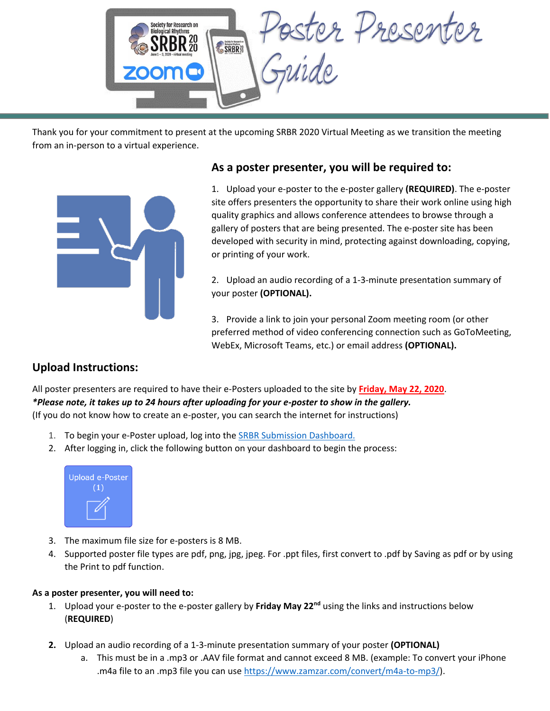

Thank you for your commitment to present at the upcoming SRBR 2020 Virtual Meeting as we transition the meeting from an in-person to a virtual experience.



### **As a poster presenter, you will be required to:**

1. Upload your e-poster to the e-poster gallery **(REQUIRED)**. The e-poster site offers presenters the opportunity to share their work online using high quality graphics and allows conference attendees to browse through a gallery of posters that are being presented. The e-poster site has been developed with security in mind, protecting against downloading, copying, or printing of your work.

2. Upload an audio recording of a 1-3-minute presentation summary of your poster **(OPTIONAL).**

3. Provide a link to join your personal Zoom meeting room (or other preferred method of video conferencing connection such as GoToMeeting, WebEx, Microsoft Teams, etc.) or email address **(OPTIONAL).**

# **Upload Instructions:**

All poster presenters are required to have their e-Posters uploaded to the site by **Friday, May 22, 2020**. *\*Please note, it takes up to 24 hours after uploading for your e-poster to show in the gallery.* (If you do not know how to create an e-poster, you can search the internet for instructions)

- 1. To begin your e-Poster upload, log into the SRBR [Submission Dashboard.](https://srbr.societyconference.com/?conf_id=10003&m=user&h=home)
- 2. After logging in, click the following button on your dashboard to begin the process:



- 3. The maximum file size for e-posters is 8 MB.
- 4. Supported poster file types are pdf, png, jpg, jpeg. For .ppt files, first convert to .pdf by Saving as pdf or by using the Print to pdf function.

#### **As a poster presenter, you will need to:**

- 1. Upload your e-poster to the e-poster gallery by **Friday May 22nd** using the links and instructions below (**REQUIRED**)
- **2.** Upload an audio recording of a 1-3-minute presentation summary of your poster **(OPTIONAL)**
	- a. This must be in a .mp3 or .AAV file format and cannot exceed 8 MB. (example: To convert your iPhone .m4a file to an .mp3 file you can use [https://www.zamzar.com/convert/m4a-to-mp3/\)](https://www.zamzar.com/convert/m4a-to-mp3/).